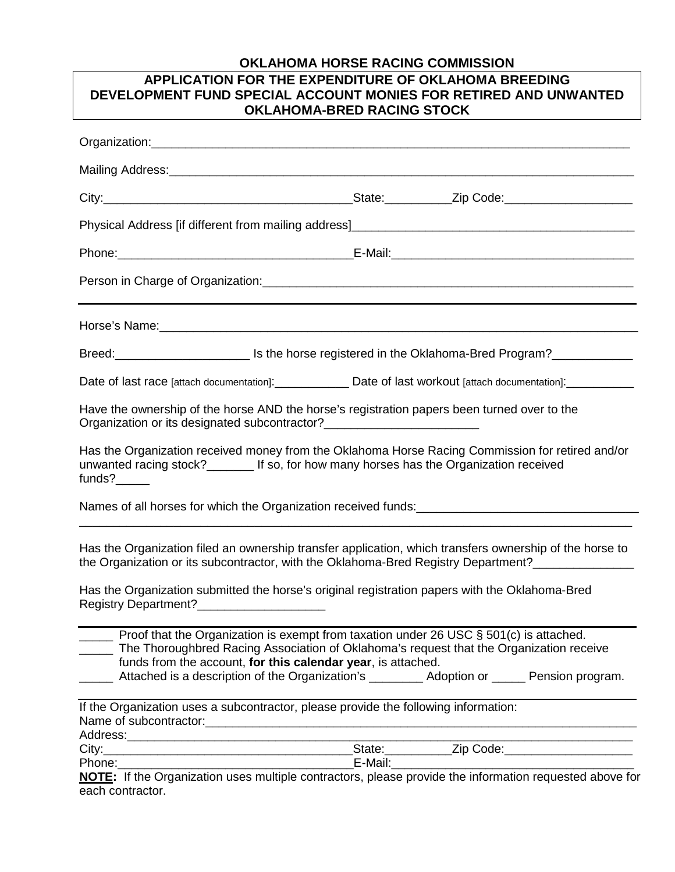## **OKLAHOMA HORSE RACING COMMISSION**

## **APPLICATION FOR THE EXPENDITURE OF OKLAHOMA BREEDING DEVELOPMENT FUND SPECIAL ACCOUNT MONIES FOR RETIRED AND UNWANTED OKLAHOMA-BRED RACING STOCK**

| Organization:                                                                                                                                                                                 |                                                              |  |  |                                                                                                |  |
|-----------------------------------------------------------------------------------------------------------------------------------------------------------------------------------------------|--------------------------------------------------------------|--|--|------------------------------------------------------------------------------------------------|--|
| Mailing Address: Mailing Address: Mail and Mail and Mail and Mail and Mail and Mail and Mail and Mail and Mail                                                                                |                                                              |  |  |                                                                                                |  |
|                                                                                                                                                                                               |                                                              |  |  |                                                                                                |  |
|                                                                                                                                                                                               |                                                              |  |  |                                                                                                |  |
|                                                                                                                                                                                               |                                                              |  |  |                                                                                                |  |
|                                                                                                                                                                                               |                                                              |  |  |                                                                                                |  |
|                                                                                                                                                                                               |                                                              |  |  |                                                                                                |  |
|                                                                                                                                                                                               |                                                              |  |  |                                                                                                |  |
| Date of last race [attach documentation]:_________________ Date of last workout [attach documentation]:____________                                                                           |                                                              |  |  |                                                                                                |  |
| Have the ownership of the horse AND the horse's registration papers been turned over to the<br>Organization or its designated subcontractor?___________________________________               |                                                              |  |  |                                                                                                |  |
| Has the Organization received money from the Oklahoma Horse Racing Commission for retired and/or<br>unwanted racing stock?________ If so, for how many horses has the Organization received   |                                                              |  |  |                                                                                                |  |
|                                                                                                                                                                                               |                                                              |  |  |                                                                                                |  |
| Has the Organization filed an ownership transfer application, which transfers ownership of the horse to<br>the Organization or its subcontractor, with the Oklahoma-Bred Registry Department? |                                                              |  |  |                                                                                                |  |
| Has the Organization submitted the horse's original registration papers with the Oklahoma-Bred<br>Registry Department?_________________________                                               |                                                              |  |  |                                                                                                |  |
| Proof that the Organization is exempt from taxation under 26 USC § 501(c) is attached.<br>The Thoroughbred Racing Association of Oklahoma's request that the Organization receive             | funds from the account, for this calendar year, is attached. |  |  | Attached is a description of the Organization's __________ Adoption or ______ Pension program. |  |
| If the Organization uses a subcontractor, please provide the following information:                                                                                                           |                                                              |  |  |                                                                                                |  |
|                                                                                                                                                                                               |                                                              |  |  |                                                                                                |  |
|                                                                                                                                                                                               |                                                              |  |  |                                                                                                |  |
| Phone: Phone: Phone: F-Mail: E-Mail: E-Mail: Phone: F-Mail: NOTE: If the Organization uses multiple contractors, please provide the information requested above for                           |                                                              |  |  |                                                                                                |  |
| each contractor.                                                                                                                                                                              |                                                              |  |  |                                                                                                |  |